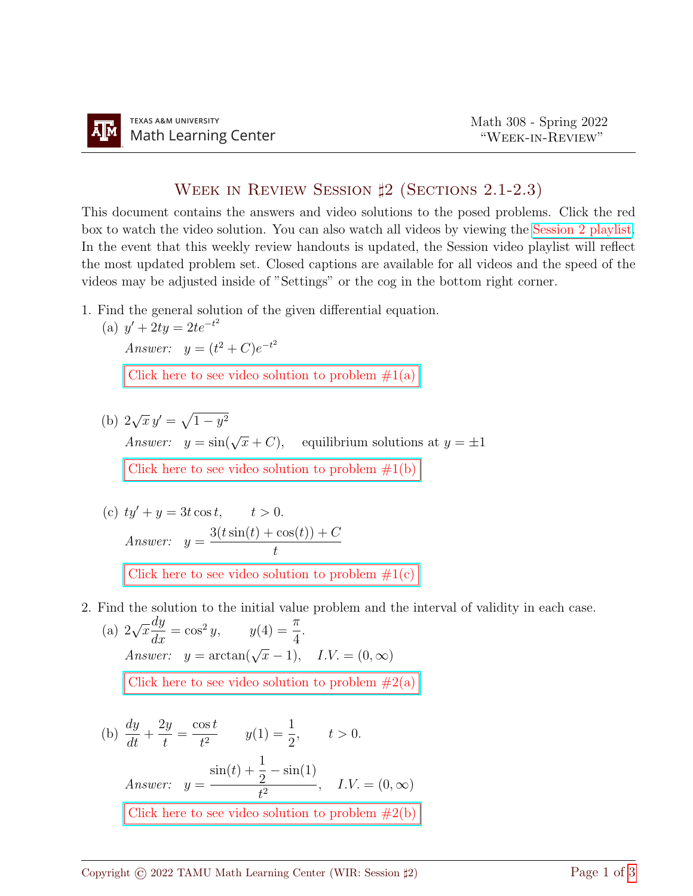## WEEK IN REVIEW SESSION  $\sharp$ 2 (SECTIONS 2.1-2.3)

This document contains the answers and video solutions to the posed problems. Click the red box to watch the video solution. You can also watch all videos by viewing the [Session 2 playlist.](https://youtube.com/playlist?list=PLwFg2cC3rFdnt6FufFQQ4BTeIuVnKdD6D) In the event that this weekly review handouts is updated, the Session video playlist will reflect the most updated problem set. Closed captions are available for all videos and the speed of the videos may be adjusted inside of "Settings" or the cog in the bottom right corner.

1. Find the general solution of the given differential equation.

(a) 
$$
y' + 2ty = 2te^{-t^2}
$$
  
\nAnswer:  $y = (t^2 + C)e^{-t^2}$   
\nClick here to see video solution to problem #1(a)

(b) 2  $\sqrt{x} y' = \sqrt{1 - y^2}$ Answer:  $y = \sin(\sqrt{x} + C)$ , equilibrium solutions at  $y = \pm 1$ Click here to see video solution to problem  $#1(b)$ 

(c) 
$$
ty' + y = 3t \cos t
$$
,  $t > 0$ .  
\nAnswer:  $y = \frac{3(t \sin(t) + \cos(t)) + C}{t}$   
\nClick here to see video solution to problem #1(c)

2. Find the solution to the initial value problem and the interval of validity in each case.

(a) 
$$
2\sqrt{x}\frac{dy}{dx} = \cos^2 y
$$
,  $y(4) = \frac{\pi}{4}$ .  
\nAnswer:  $y = \arctan(\sqrt{x} - 1)$ ,  $I.V. = (0, \infty)$   
\nClick here to see video solution to problem #2(a)

(b) 
$$
\frac{dy}{dt} + \frac{2y}{t} = \frac{\cos t}{t^2} \qquad y(1) = \frac{1}{2}, \qquad t > 0.
$$
  
Answer: 
$$
y = \frac{\sin(t) + \frac{1}{2} - \sin(1)}{t^2}, \quad I.V. = (0, \infty)
$$
Click here to see video solution to problem #2(b)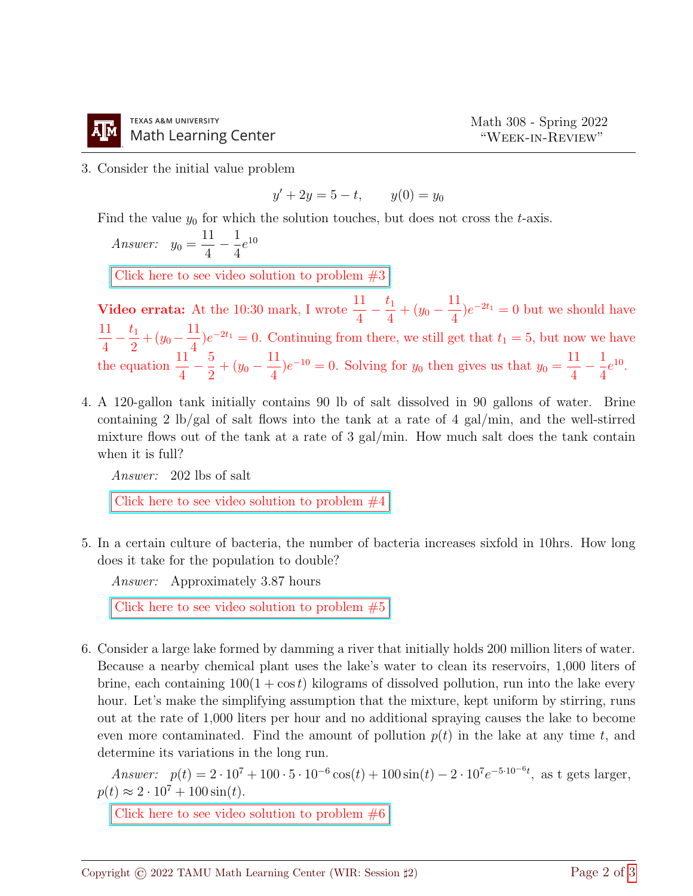

3. Consider the initial value problem

$$
y' + 2y = 5 - t, \qquad y(0) = y_0
$$

Find the value  $y_0$  for which the solution touches, but does not cross the t-axis.

Answer: 
$$
y_0 = \frac{11}{4} - \frac{1}{4}e^{10}
$$

[Click here to see video solution to problem #3](https://youtu.be/LWcVI-4GICI)

**Video errata:** At the 10:30 mark, I wrote  $\frac{11}{4}$ 4  $-\frac{t_1}{4}$  $\frac{t_1}{4} + (y_0 - \frac{11}{4})$ 4  $)e^{-2t_1} = 0$  but we should have 11 4  $-\frac{t_1}{2}$  $rac{t_1}{2} + (y_0 - \frac{11}{4})$ 4  $)e^{-2t_1} = 0$ . Continuing from there, we still get that  $t_1 = 5$ , but now we have the equation  $\frac{11}{4}$ 4  $-\frac{5}{5}$  $\frac{5}{2} + (y_0 - \frac{11}{4})$ 4  $(e^{-10})e^{-10} = 0$ . Solving for  $y_0$  then gives us that  $y_0 = \frac{11}{4}$ 4  $-\frac{1}{4}$ 4  $e^{10}$ .

4. A 120-gallon tank initially contains 90 lb of salt dissolved in 90 gallons of water. Brine containing 2 lb/gal of salt flows into the tank at a rate of 4 gal/min, and the well-stirred mixture flows out of the tank at a rate of 3 gal/min. How much salt does the tank contain when it is full?

Answer: 202 lbs of salt

Click here to see video solution to problem  $#4$ 

5. In a certain culture of bacteria, the number of bacteria increases sixfold in 10hrs. How long does it take for the population to double?

Answer: Approximately 3.87 hours

Click here to see video solution to problem  $#5$ 

6. Consider a large lake formed by damming a river that initially holds 200 million liters of water. Because a nearby chemical plant uses the lake's water to clean its reservoirs, 1,000 liters of brine, each containing  $100(1 + \cos t)$  kilograms of dissolved pollution, run into the lake every hour. Let's make the simplifying assumption that the mixture, kept uniform by stirring, runs out at the rate of 1,000 liters per hour and no additional spraying causes the lake to become even more contaminated. Find the amount of pollution  $p(t)$  in the lake at any time t, and determine its variations in the long run.

Answer:  $p(t) = 2 \cdot 10^7 + 100 \cdot 5 \cdot 10^{-6} \cos(t) + 100 \sin(t) - 2 \cdot 10^7 e^{-5 \cdot 10^{-6} t}$ , as t gets larger,  $p(t) \approx 2 \cdot 10^7 + 100 \sin(t)$ .

Click here to see video solution to problem  $\#6$